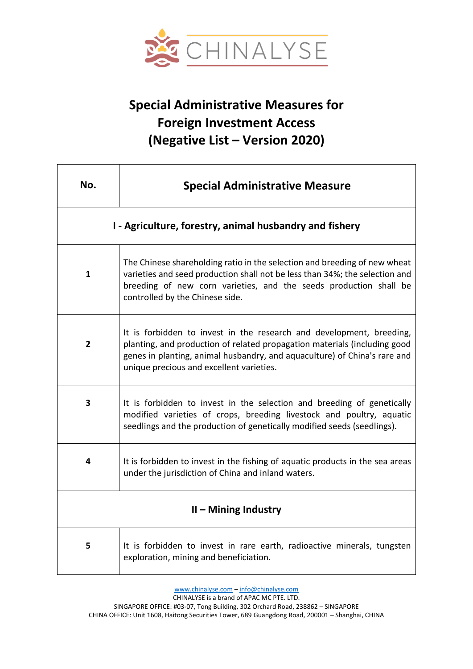

## **Special Administrative Measures for Foreign Investment Access (Negative List – Version 2020)**

| No.                                                     | <b>Special Administrative Measure</b>                                                                                                                                                                                                                                      |
|---------------------------------------------------------|----------------------------------------------------------------------------------------------------------------------------------------------------------------------------------------------------------------------------------------------------------------------------|
| I - Agriculture, forestry, animal husbandry and fishery |                                                                                                                                                                                                                                                                            |
| 1                                                       | The Chinese shareholding ratio in the selection and breeding of new wheat<br>varieties and seed production shall not be less than 34%; the selection and<br>breeding of new corn varieties, and the seeds production shall be<br>controlled by the Chinese side.           |
| $\overline{2}$                                          | It is forbidden to invest in the research and development, breeding,<br>planting, and production of related propagation materials (including good<br>genes in planting, animal husbandry, and aquaculture) of China's rare and<br>unique precious and excellent varieties. |
| 3                                                       | It is forbidden to invest in the selection and breeding of genetically<br>modified varieties of crops, breeding livestock and poultry, aquatic<br>seedlings and the production of genetically modified seeds (seedlings).                                                  |
| 4                                                       | It is forbidden to invest in the fishing of aquatic products in the sea areas<br>under the jurisdiction of China and inland waters.                                                                                                                                        |
| $II$ – Mining Industry                                  |                                                                                                                                                                                                                                                                            |
| 5                                                       | It is forbidden to invest in rare earth, radioactive minerals, tungsten<br>exploration, mining and beneficiation.                                                                                                                                                          |

[www.chinalyse.com](http://www.chinalyse.com/) – [info@chinalyse.com](mailto:info@chinalyse.com)

CHINALYSE is a brand of APAC MC PTE. LTD.

SINGAPORE OFFICE: #03-07, Tong Building, 302 Orchard Road, 238862 – SINGAPORE CHINA OFFICE: Unit 1608, Haitong Securities Tower, 689 Guangdong Road, 200001 – Shanghai, CHINA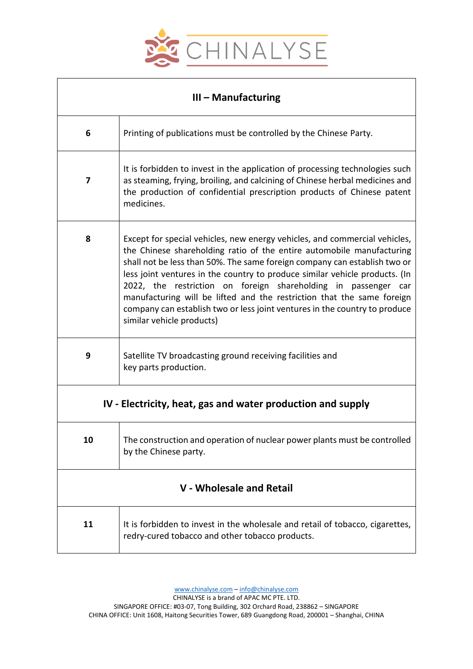

| $III -$ Manufacturing                                       |                                                                                                                                                                                                                                                                                                                                                                                                                                                                                                                                                                        |  |
|-------------------------------------------------------------|------------------------------------------------------------------------------------------------------------------------------------------------------------------------------------------------------------------------------------------------------------------------------------------------------------------------------------------------------------------------------------------------------------------------------------------------------------------------------------------------------------------------------------------------------------------------|--|
| 6                                                           | Printing of publications must be controlled by the Chinese Party.                                                                                                                                                                                                                                                                                                                                                                                                                                                                                                      |  |
| 7                                                           | It is forbidden to invest in the application of processing technologies such<br>as steaming, frying, broiling, and calcining of Chinese herbal medicines and<br>the production of confidential prescription products of Chinese patent<br>medicines.                                                                                                                                                                                                                                                                                                                   |  |
| 8                                                           | Except for special vehicles, new energy vehicles, and commercial vehicles,<br>the Chinese shareholding ratio of the entire automobile manufacturing<br>shall not be less than 50%. The same foreign company can establish two or<br>less joint ventures in the country to produce similar vehicle products. (In<br>2022, the restriction on foreign shareholding in passenger car<br>manufacturing will be lifted and the restriction that the same foreign<br>company can establish two or less joint ventures in the country to produce<br>similar vehicle products) |  |
| 9                                                           | Satellite TV broadcasting ground receiving facilities and<br>key parts production.                                                                                                                                                                                                                                                                                                                                                                                                                                                                                     |  |
| IV - Electricity, heat, gas and water production and supply |                                                                                                                                                                                                                                                                                                                                                                                                                                                                                                                                                                        |  |
| 10                                                          | The construction and operation of nuclear power plants must be controlled<br>by the Chinese party.                                                                                                                                                                                                                                                                                                                                                                                                                                                                     |  |
| V - Wholesale and Retail                                    |                                                                                                                                                                                                                                                                                                                                                                                                                                                                                                                                                                        |  |
| 11                                                          | It is forbidden to invest in the wholesale and retail of tobacco, cigarettes,<br>redry-cured tobacco and other tobacco products.                                                                                                                                                                                                                                                                                                                                                                                                                                       |  |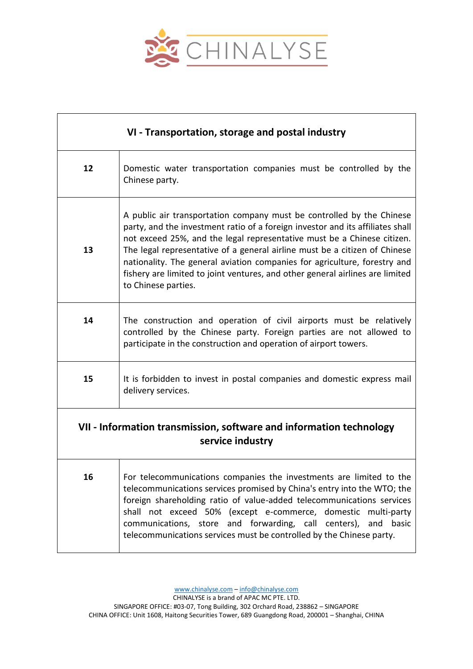

| VI - Transportation, storage and postal industry                                        |                                                                                                                                                                                                                                                                                                                                                                                                                                                                                                       |
|-----------------------------------------------------------------------------------------|-------------------------------------------------------------------------------------------------------------------------------------------------------------------------------------------------------------------------------------------------------------------------------------------------------------------------------------------------------------------------------------------------------------------------------------------------------------------------------------------------------|
| 12                                                                                      | Domestic water transportation companies must be controlled by the<br>Chinese party.                                                                                                                                                                                                                                                                                                                                                                                                                   |
| 13                                                                                      | A public air transportation company must be controlled by the Chinese<br>party, and the investment ratio of a foreign investor and its affiliates shall<br>not exceed 25%, and the legal representative must be a Chinese citizen.<br>The legal representative of a general airline must be a citizen of Chinese<br>nationality. The general aviation companies for agriculture, forestry and<br>fishery are limited to joint ventures, and other general airlines are limited<br>to Chinese parties. |
| 14                                                                                      | The construction and operation of civil airports must be relatively<br>controlled by the Chinese party. Foreign parties are not allowed to<br>participate in the construction and operation of airport towers.                                                                                                                                                                                                                                                                                        |
| 15                                                                                      | It is forbidden to invest in postal companies and domestic express mail<br>delivery services.                                                                                                                                                                                                                                                                                                                                                                                                         |
| VII - Information transmission, software and information technology<br>service industry |                                                                                                                                                                                                                                                                                                                                                                                                                                                                                                       |
| 16                                                                                      | For telecommunications companies the investments are limited to the<br>telecommunications services promised by China's entry into the WTO; the<br>foreign shareholding ratio of value-added telecommunications services<br>shall not exceed 50% (except e-commerce, domestic multi-party<br>communications, store and forwarding, call centers), and basic<br>telecommunications services must be controlled by the Chinese party.                                                                    |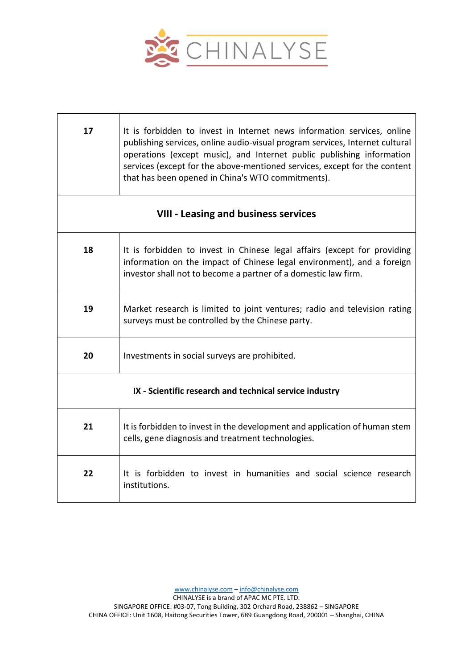

| 17                                                      | It is forbidden to invest in Internet news information services, online<br>publishing services, online audio-visual program services, Internet cultural<br>operations (except music), and Internet public publishing information<br>services (except for the above-mentioned services, except for the content<br>that has been opened in China's WTO commitments). |  |
|---------------------------------------------------------|--------------------------------------------------------------------------------------------------------------------------------------------------------------------------------------------------------------------------------------------------------------------------------------------------------------------------------------------------------------------|--|
| <b>VIII - Leasing and business services</b>             |                                                                                                                                                                                                                                                                                                                                                                    |  |
| 18                                                      | It is forbidden to invest in Chinese legal affairs (except for providing<br>information on the impact of Chinese legal environment), and a foreign<br>investor shall not to become a partner of a domestic law firm.                                                                                                                                               |  |
| 19                                                      | Market research is limited to joint ventures; radio and television rating<br>surveys must be controlled by the Chinese party.                                                                                                                                                                                                                                      |  |
| 20                                                      | Investments in social surveys are prohibited.                                                                                                                                                                                                                                                                                                                      |  |
| IX - Scientific research and technical service industry |                                                                                                                                                                                                                                                                                                                                                                    |  |
| 21                                                      | It is forbidden to invest in the development and application of human stem<br>cells, gene diagnosis and treatment technologies.                                                                                                                                                                                                                                    |  |
| 22                                                      | It is forbidden to invest in humanities and social science research<br>institutions.                                                                                                                                                                                                                                                                               |  |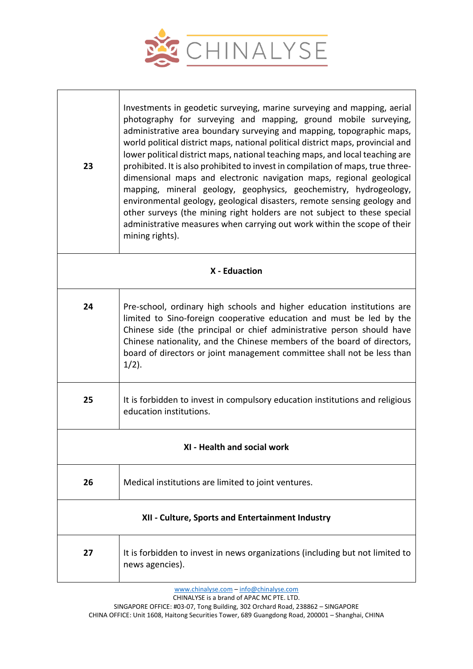

 $\overline{1}$ 

| 23                                               | Investments in geodetic surveying, marine surveying and mapping, aerial<br>photography for surveying and mapping, ground mobile surveying,<br>administrative area boundary surveying and mapping, topographic maps,<br>world political district maps, national political district maps, provincial and<br>lower political district maps, national teaching maps, and local teaching are<br>prohibited. It is also prohibited to invest in compilation of maps, true three-<br>dimensional maps and electronic navigation maps, regional geological<br>mapping, mineral geology, geophysics, geochemistry, hydrogeology,<br>environmental geology, geological disasters, remote sensing geology and<br>other surveys (the mining right holders are not subject to these special<br>administrative measures when carrying out work within the scope of their<br>mining rights). |  |  |
|--------------------------------------------------|-------------------------------------------------------------------------------------------------------------------------------------------------------------------------------------------------------------------------------------------------------------------------------------------------------------------------------------------------------------------------------------------------------------------------------------------------------------------------------------------------------------------------------------------------------------------------------------------------------------------------------------------------------------------------------------------------------------------------------------------------------------------------------------------------------------------------------------------------------------------------------|--|--|
|                                                  | X - Eduaction                                                                                                                                                                                                                                                                                                                                                                                                                                                                                                                                                                                                                                                                                                                                                                                                                                                                 |  |  |
| 24                                               | Pre-school, ordinary high schools and higher education institutions are<br>limited to Sino-foreign cooperative education and must be led by the<br>Chinese side (the principal or chief administrative person should have<br>Chinese nationality, and the Chinese members of the board of directors,<br>board of directors or joint management committee shall not be less than<br>$1/2$ ).                                                                                                                                                                                                                                                                                                                                                                                                                                                                                   |  |  |
| 25                                               | It is forbidden to invest in compulsory education institutions and religious<br>education institutions.                                                                                                                                                                                                                                                                                                                                                                                                                                                                                                                                                                                                                                                                                                                                                                       |  |  |
| XI - Health and social work                      |                                                                                                                                                                                                                                                                                                                                                                                                                                                                                                                                                                                                                                                                                                                                                                                                                                                                               |  |  |
| 26                                               | Medical institutions are limited to joint ventures.                                                                                                                                                                                                                                                                                                                                                                                                                                                                                                                                                                                                                                                                                                                                                                                                                           |  |  |
| XII - Culture, Sports and Entertainment Industry |                                                                                                                                                                                                                                                                                                                                                                                                                                                                                                                                                                                                                                                                                                                                                                                                                                                                               |  |  |
| 27                                               | It is forbidden to invest in news organizations (including but not limited to<br>news agencies).                                                                                                                                                                                                                                                                                                                                                                                                                                                                                                                                                                                                                                                                                                                                                                              |  |  |

[www.chinalyse.com](http://www.chinalyse.com/) – [info@chinalyse.com](mailto:info@chinalyse.com)

CHINALYSE is a brand of APAC MC PTE. LTD.

SINGAPORE OFFICE: #03-07, Tong Building, 302 Orchard Road, 238862 – SINGAPORE CHINA OFFICE: Unit 1608, Haitong Securities Tower, 689 Guangdong Road, 200001 – Shanghai, CHINA